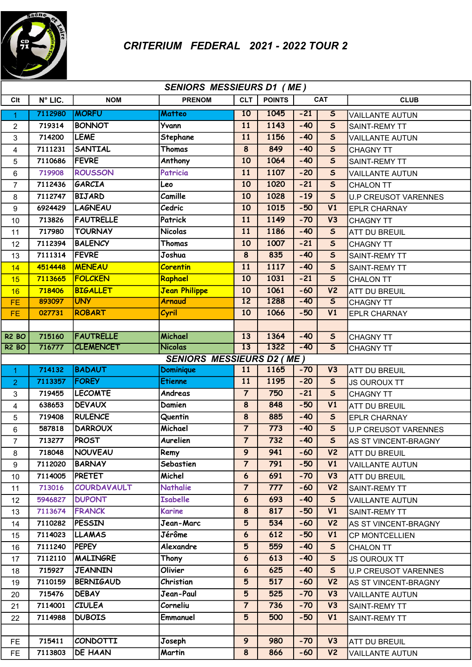

| <b>SENIORS MESSIEURS D1 (ME)</b> |         |                  |                                  |                 |               |            |                         |                             |  |  |
|----------------------------------|---------|------------------|----------------------------------|-----------------|---------------|------------|-------------------------|-----------------------------|--|--|
| Clt                              | N° LIC. | <b>NOM</b>       | <b>PRENOM</b>                    | <b>CLT</b>      | <b>POINTS</b> | <b>CAT</b> |                         | <b>CLUB</b>                 |  |  |
| 1                                | 7112980 | <b>IMORFU</b>    | Matteo                           | 10              | 1045          | $-21$      | $\overline{\mathsf{s}}$ | <b>VAILLANTE AUTUN</b>      |  |  |
| $\overline{2}$                   | 719314  | <b>BONNOT</b>    | Yvann                            | 11              | 1143          | $-40$      | $\mathsf{s}$            | SAINT-REMY TT               |  |  |
| 3                                | 714200  | <b>LEME</b>      | Stephane                         | 11              | 1156          | $-40$      | $\mathsf{s}$            | <b>VAILLANTE AUTUN</b>      |  |  |
| 4                                | 7111231 | <b>SANTIAL</b>   | Thomas                           | 8               | 849           | $-40$      | $\mathsf{s}$            | <b>CHAGNY TT</b>            |  |  |
| 5                                | 7110686 | <b>FEVRE</b>     | Anthony                          | 10              | 1064          | $-40$      | $\overline{\mathbf{s}}$ | <b>SAINT-REMY TT</b>        |  |  |
| 6                                | 719908  | <b>ROUSSON</b>   | Patricia                         | 11              | 1107          | $-20$      | $\mathsf{s}$            | <b>VAILLANTE AUTUN</b>      |  |  |
| $\overline{7}$                   | 7112436 | GARCIA           | Leo                              | 10              | 1020          | $-21$      | $\sf s$                 | <b>CHALON TT</b>            |  |  |
| 8                                | 7112747 | <b>BIJARD</b>    | Camille                          | 10              | 1028          | $-19$      | $\mathsf S$             | <b>U.P CREUSOT VARENNES</b> |  |  |
| 9                                | 6924429 | <b>LAGNEAU</b>   | Cedric                           | 10              | 1015          | $-50$      | $\overline{V1}$         | <b>EPLR CHARNAY</b>         |  |  |
| 10                               | 713826  | <b>FAUTRELLE</b> | Patrick                          | 11              | 1149          | $-70$      | V3                      | <b>CHAGNY TT</b>            |  |  |
| 11                               | 717980  | <b>TOURNAY</b>   | <b>Nicolas</b>                   | 11              | 1186          | $-40$      | $\mathsf{s}$            | <b>ATT DU BREUIL</b>        |  |  |
| 12                               | 7112394 | <b>BALENCY</b>   | Thomas                           | 10              | 1007          | $-21$      | $\overline{\mathbf{s}}$ | <b>CHAGNY TT</b>            |  |  |
| 13                               | 7111314 | <b>FEVRE</b>     | Joshua                           | 8               | 835           | $-40$      | $\mathsf{s}$            | <b>SAINT-REMY TT</b>        |  |  |
| 14                               | 4514448 | <b>MENEAU</b>    | <b>Corentin</b>                  | 11              | 1117          | $-40$      | $\mathsf{s}$            | <b>SAINT-REMY TT</b>        |  |  |
| 15                               | 7113665 | <b>FOLCKEN</b>   | Raphael                          | 10              | 1031          | $-21$      | $\overline{\mathbf{s}}$ | <b>CHALON TT</b>            |  |  |
| 16                               | 718406  | <b>BIGALLET</b>  | <b>Jean Philippe</b>             | 10              | 1061          | $-60$      | V <sub>2</sub>          | <b>ATT DU BREUIL</b>        |  |  |
| FE                               | 893097  | <b>UNY</b>       | <b>Arnaud</b>                    | $\overline{12}$ | 1288          | $-40$      | $\overline{\mathsf{s}}$ | <b>CHAGNY TT</b>            |  |  |
| <b>FE</b>                        | 027731  | <b>ROBART</b>    | Cyril                            | 10              | 1066          | $-50$      | V1                      | <b>EPLR CHARNAY</b>         |  |  |
|                                  |         |                  |                                  |                 |               |            |                         |                             |  |  |
| <b>R2 BO</b>                     | 715160  | <b>FAUTRELLE</b> | Michael                          | 13              | 1364          | $-40$      | $\mathsf S$             | <b>CHAGNY TT</b>            |  |  |
| <b>R2 BO</b>                     | 716777  | <b>CLEMENCET</b> | <b>Nicolas</b>                   | 13              | 1322          | $-40$      | $\overline{\mathsf{s}}$ | <b>CHAGNY TT</b>            |  |  |
|                                  |         |                  | <b>SENIORS MESSIEURS D2 (ME)</b> |                 |               |            |                         |                             |  |  |
| $\overline{1}$                   | 714132  | <b>BADAUT</b>    | Dominique                        | 11              | 1165          | $-70$      | V3                      | <b>ATT DU BREUIL</b>        |  |  |
| $\overline{2}$                   | 7113357 | <b>FOREY</b>     | <b>Etienne</b>                   | 11              | 1195          | $-20$      | $\mathsf S$             | <b>JS OUROUX TT</b>         |  |  |
| 3                                | 719455  | <b>LECOMTE</b>   | Andreas                          | $\overline{7}$  | 750           | $-21$      | $\overline{\mathbf{s}}$ | <b>CHAGNY TT</b>            |  |  |
| 4                                | 638653  | <b>DEVAUX</b>    | Damien                           | 8               | 848           | $-50$      | V1                      | <b>ATT DU BREUIL</b>        |  |  |
| 5                                | 719408  | <b>RULENCE</b>   | Quentin                          | $\pmb{8}$       | 885           | $-40$      | $\overline{\mathbf{s}}$ | <b>EPLR CHARNAY</b>         |  |  |
| 6                                | 587818  | <b>DARROUX</b>   | Michael                          | $\overline{7}$  | 773           | $-40$      | $\mathsf{s}$            | <b>U.P CREUSOT VARENNES</b> |  |  |
| $\overline{7}$                   | 713277  | PROST            | Aurelien                         | $\overline{7}$  | 732           | $-40$      | $\mathsf S$             | AS ST VINCENT-BRAGNY        |  |  |
| 8                                | 718048  | <b>NOUVEAU</b>   | Remy                             | $\mathbf{9}$    | 941           | $-60$      | V <sub>2</sub>          | <b>ATT DU BREUIL</b>        |  |  |
| 9                                | 7112020 | <b>BARNAY</b>    | Sebastien                        | $\overline{7}$  | 791           | $-50$      | V1                      | <b>VAILLANTE AUTUN</b>      |  |  |
| 10                               | 7114005 | <b>PRETET</b>    | Michel                           | 6               | 691           | $-70$      | V3                      | <b>ATT DU BREUIL</b>        |  |  |
| 11                               | 713016  | COURDAVAULT      | <b>Nathalie</b>                  | $\overline{7}$  | 777           | $-60$      | V <sub>2</sub>          | <b>SAINT-REMY TT</b>        |  |  |
| 12                               | 5946827 | <b>DUPONT</b>    | <b>Isabelle</b>                  | 6               | 693           | $-40$      | $\mathsf{s}$            | <b>VAILLANTE AUTUN</b>      |  |  |
| 13                               | 7113674 | <b>FRANCK</b>    | <b>Karine</b>                    | 8               | 817           | $-50$      | V1                      | <b>SAINT-REMY TT</b>        |  |  |
| 14                               | 7110282 | <b>PESSIN</b>    | Jean-Marc                        | $5\overline{)}$ | 534           | $-60$      | V <sub>2</sub>          | AS ST VINCENT-BRAGNY        |  |  |
| 15                               | 7114023 | <b>LLAMAS</b>    | Jérôme                           | $6\phantom{1}6$ | 612           | $-50$      | V1                      | <b>CP MONTCELLIEN</b>       |  |  |
| 16                               | 7111240 | <b>PEPEY</b>     | Alexandre                        | 5               | 559           | $-40$      | $\mathsf S$             | <b>CHALON TT</b>            |  |  |
| 17                               | 7112110 | MALINGRE         | Thony                            | $6\phantom{1}6$ | 613           | $-40$      | $\mathsf{s}$            | <b>JS OUROUX TT</b>         |  |  |
| 18                               | 715927  | <b>JEANNIN</b>   | Olivier                          | $6\phantom{1}6$ | 625           | $-40$      | $\mathsf{s}$            | <b>U.P CREUSOT VARENNES</b> |  |  |
| 19                               | 7110159 | <b>BERNIGAUD</b> | Christian                        | $5\overline{)}$ | 517           | $-60$      | V <sub>2</sub>          | AS ST VINCENT-BRAGNY        |  |  |
| 20                               | 715476  | <b>DEBAY</b>     | Jean-Paul                        | 5               | 525           | $-70$      | V3                      | <b>VAILLANTE AUTUN</b>      |  |  |
| 21                               | 7114001 | <b>CIULEA</b>    | Corneliu                         | $\overline{7}$  | 736           | $-70$      | V3                      | SAINT-REMY TT               |  |  |
| 22                               | 7114988 | <b>DUBOIS</b>    | Emmanuel                         | $5\overline{)}$ | 500           | $-50$      | V1                      | SAINT-REMY TT               |  |  |
|                                  |         |                  |                                  |                 |               |            |                         |                             |  |  |
| FE.                              | 715411  | <b>CONDOTTI</b>  | Joseph                           | 9               | 980           | $-70$      | V3                      | <b>ATT DU BREUIL</b>        |  |  |
| FE.                              | 7113803 | <b>DE HAAN</b>   | Martin                           | 8               | 866           | $-60$      | V <sub>2</sub>          | <b>VAILLANTE AUTUN</b>      |  |  |